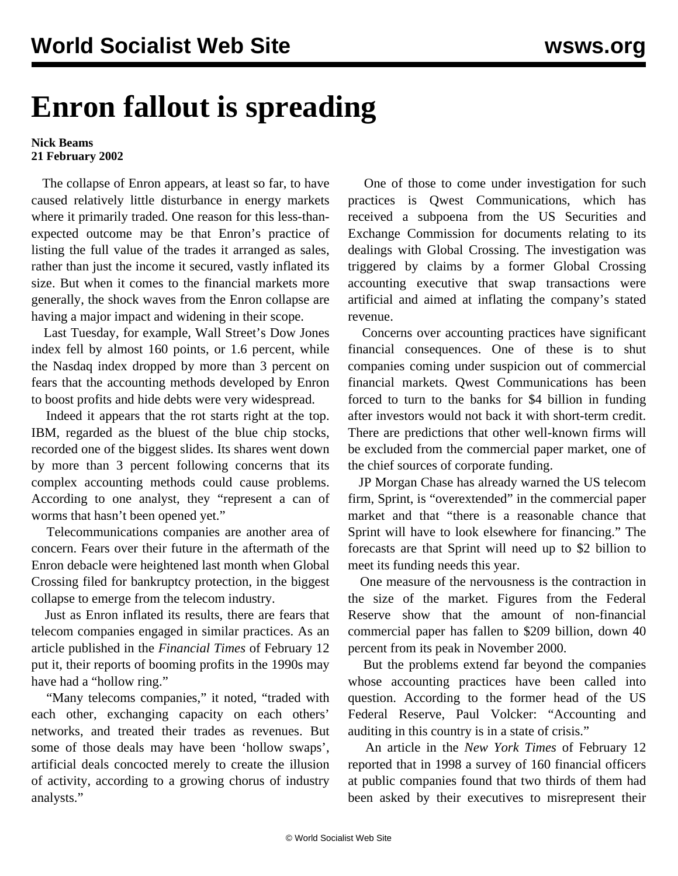## **Enron fallout is spreading**

## **Nick Beams 21 February 2002**

 The collapse of Enron appears, at least so far, to have caused relatively little disturbance in energy markets where it primarily traded. One reason for this less-thanexpected outcome may be that Enron's practice of listing the full value of the trades it arranged as sales, rather than just the income it secured, vastly inflated its size. But when it comes to the financial markets more generally, the shock waves from the Enron collapse are having a major impact and widening in their scope.

 Last Tuesday, for example, Wall Street's Dow Jones index fell by almost 160 points, or 1.6 percent, while the Nasdaq index dropped by more than 3 percent on fears that the accounting methods developed by Enron to boost profits and hide debts were very widespread.

 Indeed it appears that the rot starts right at the top. IBM, regarded as the bluest of the blue chip stocks, recorded one of the biggest slides. Its shares went down by more than 3 percent following concerns that its complex accounting methods could cause problems. According to one analyst, they "represent a can of worms that hasn't been opened yet."

 Telecommunications companies are another area of concern. Fears over their future in the aftermath of the Enron debacle were heightened last month when Global Crossing filed for bankruptcy protection, in the biggest collapse to emerge from the telecom industry.

 Just as Enron inflated its results, there are fears that telecom companies engaged in similar practices. As an article published in the *Financial Times* of February 12 put it, their reports of booming profits in the 1990s may have had a "hollow ring."

"Many telecoms companies," it noted, "traded with each other, exchanging capacity on each others' networks, and treated their trades as revenues. But some of those deals may have been 'hollow swaps', artificial deals concocted merely to create the illusion of activity, according to a growing chorus of industry analysts."

 One of those to come under investigation for such practices is Qwest Communications, which has received a subpoena from the US Securities and Exchange Commission for documents relating to its dealings with Global Crossing. The investigation was triggered by claims by a former Global Crossing accounting executive that swap transactions were artificial and aimed at inflating the company's stated revenue.

 Concerns over accounting practices have significant financial consequences. One of these is to shut companies coming under suspicion out of commercial financial markets. Qwest Communications has been forced to turn to the banks for \$4 billion in funding after investors would not back it with short-term credit. There are predictions that other well-known firms will be excluded from the commercial paper market, one of the chief sources of corporate funding.

 JP Morgan Chase has already warned the US telecom firm, Sprint, is "overextended" in the commercial paper market and that "there is a reasonable chance that Sprint will have to look elsewhere for financing." The forecasts are that Sprint will need up to \$2 billion to meet its funding needs this year.

 One measure of the nervousness is the contraction in the size of the market. Figures from the Federal Reserve show that the amount of non-financial commercial paper has fallen to \$209 billion, down 40 percent from its peak in November 2000.

 But the problems extend far beyond the companies whose accounting practices have been called into question. According to the former head of the US Federal Reserve, Paul Volcker: "Accounting and auditing in this country is in a state of crisis."

 An article in the *New York Times* of February 12 reported that in 1998 a survey of 160 financial officers at public companies found that two thirds of them had been asked by their executives to misrepresent their